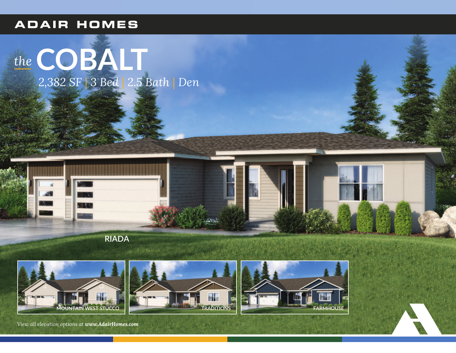## **ADAIR HOMES**

# the COBAIT<br>2,382 SF 3 Bed 2.5 Bath | Den









View all elevation options at www.AdairHomes.com